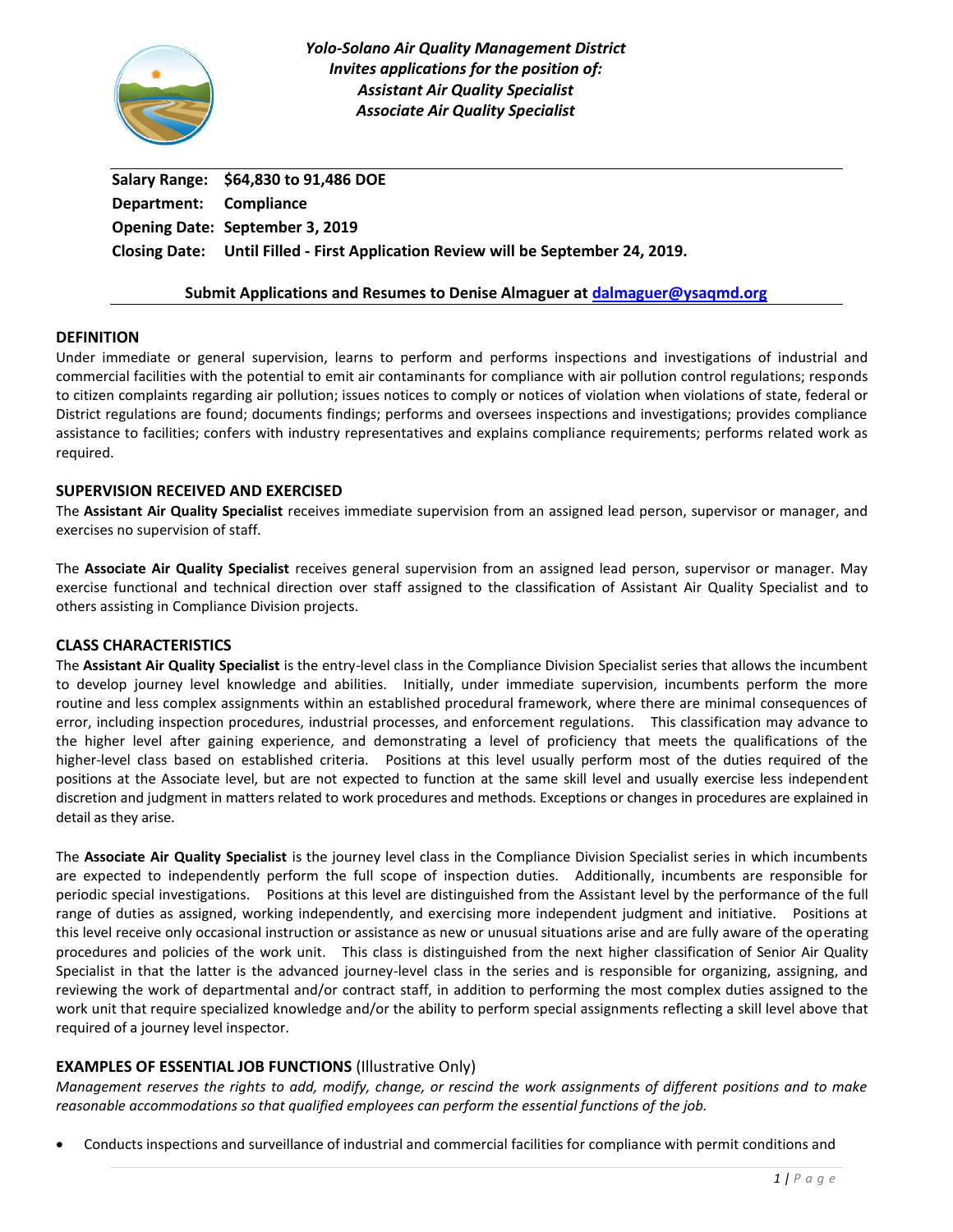

**Salary Range: \$64,830 to 91,486 DOE Department: Compliance Opening Date: September 3, 2019 Closing Date: Until Filled - First Application Review will be September 24, 2019.** 

#### **Submit Applications and Resumes to Denise Almaguer a[t dalmaguer@ysaqmd.org](dalmaguer@ysaqmd.org)**

#### **DEFINITION**

Under immediate or general supervision, learns to perform and performs inspections and investigations of industrial and commercial facilities with the potential to emit air contaminants for compliance with air pollution control regulations; responds to citizen complaints regarding air pollution; issues notices to comply or notices of violation when violations of state, federal or District regulations are found; documents findings; performs and oversees inspections and investigations; provides compliance assistance to facilities; confers with industry representatives and explains compliance requirements; performs related work as required.

#### **SUPERVISION RECEIVED AND EXERCISED**

The **Assistant Air Quality Specialist** receives immediate supervision from an assigned lead person, supervisor or manager, and exercises no supervision of staff.

The **Associate Air Quality Specialist** receives general supervision from an assigned lead person, supervisor or manager. May exercise functional and technical direction over staff assigned to the classification of Assistant Air Quality Specialist and to others assisting in Compliance Division projects.

## **CLASS CHARACTERISTICS**

The **Assistant Air Quality Specialist** is the entry-level class in the Compliance Division Specialist series that allows the incumbent to develop journey level knowledge and abilities. Initially, under immediate supervision, incumbents perform the more routine and less complex assignments within an established procedural framework, where there are minimal consequences of error, including inspection procedures, industrial processes, and enforcement regulations. This classification may advance to the higher level after gaining experience, and demonstrating a level of proficiency that meets the qualifications of the higher-level class based on established criteria. Positions at this level usually perform most of the duties required of the positions at the Associate level, but are not expected to function at the same skill level and usually exercise less independent discretion and judgment in matters related to work procedures and methods. Exceptions or changes in procedures are explained in detail as they arise.

The **Associate Air Quality Specialist** is the journey level class in the Compliance Division Specialist series in which incumbents are expected to independently perform the full scope of inspection duties. Additionally, incumbents are responsible for periodic special investigations. Positions at this level are distinguished from the Assistant level by the performance of the full range of duties as assigned, working independently, and exercising more independent judgment and initiative. Positions at this level receive only occasional instruction or assistance as new or unusual situations arise and are fully aware of the operating procedures and policies of the work unit. This class is distinguished from the next higher classification of Senior Air Quality Specialist in that the latter is the advanced journey-level class in the series and is responsible for organizing, assigning, and reviewing the work of departmental and/or contract staff, in addition to performing the most complex duties assigned to the work unit that require specialized knowledge and/or the ability to perform special assignments reflecting a skill level above that required of a journey level inspector.

## **EXAMPLES OF ESSENTIAL JOB FUNCTIONS** (Illustrative Only)

*Management reserves the rights to add, modify, change, or rescind the work assignments of different positions and to make reasonable accommodations so that qualified employees can perform the essential functions of the job.*

Conducts inspections and surveillance of industrial and commercial facilities for compliance with permit conditions and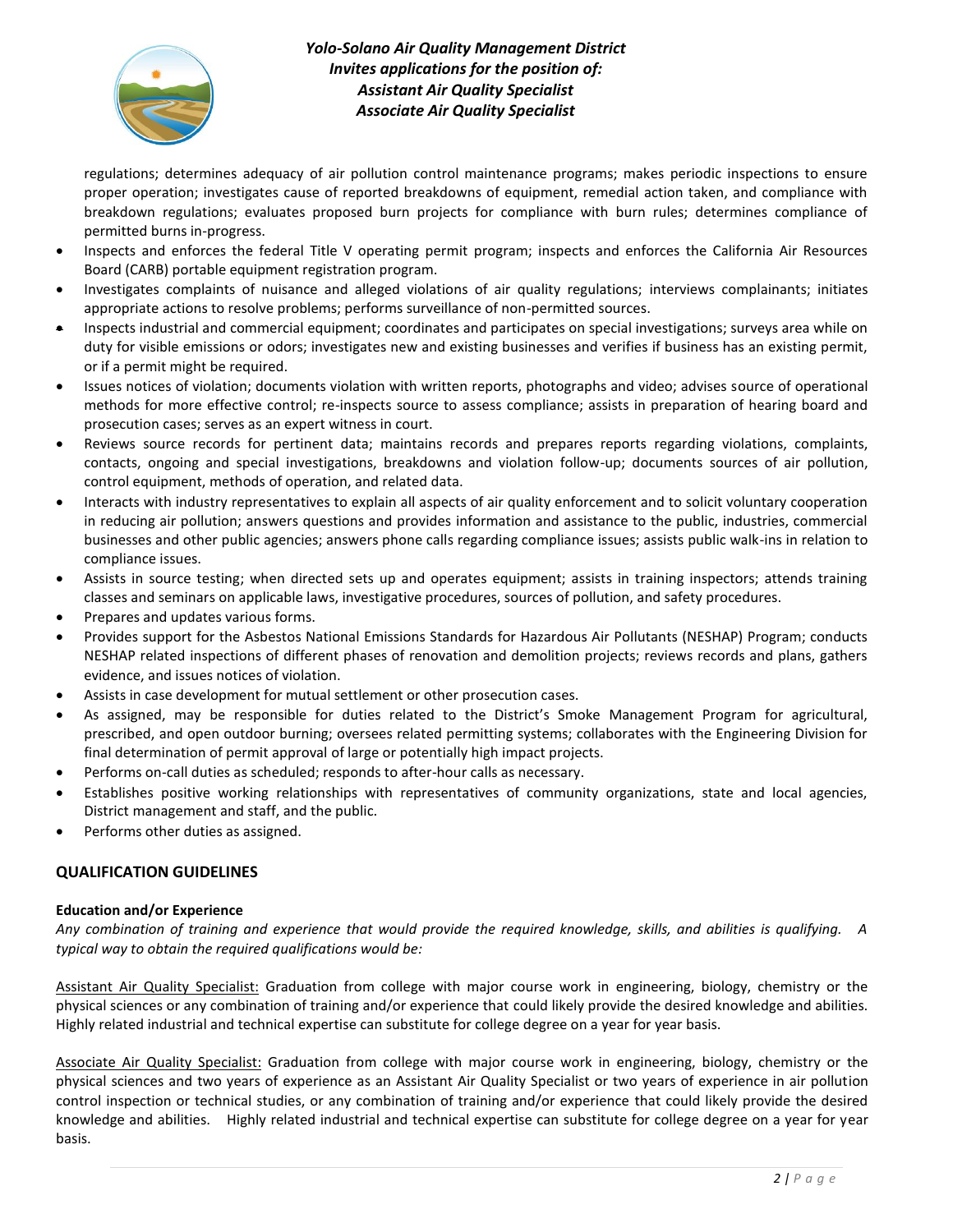

regulations; determines adequacy of air pollution control maintenance programs; makes periodic inspections to ensure proper operation; investigates cause of reported breakdowns of equipment, remedial action taken, and compliance with breakdown regulations; evaluates proposed burn projects for compliance with burn rules; determines compliance of permitted burns in-progress.

- Inspects and enforces the federal Title V operating permit program; inspects and enforces the California Air Resources Board (CARB) portable equipment registration program.
- Investigates complaints of nuisance and alleged violations of air quality regulations; interviews complainants; initiates appropriate actions to resolve problems; performs surveillance of non-permitted sources.
- Inspects industrial and commercial equipment; coordinates and participates on special investigations; surveys area while on duty for visible emissions or odors; investigates new and existing businesses and verifies if business has an existing permit, or if a permit might be required.
- Issues notices of violation; documents violation with written reports, photographs and video; advises source of operational methods for more effective control; re-inspects source to assess compliance; assists in preparation of hearing board and prosecution cases; serves as an expert witness in court.
- Reviews source records for pertinent data; maintains records and prepares reports regarding violations, complaints, contacts, ongoing and special investigations, breakdowns and violation follow-up; documents sources of air pollution, control equipment, methods of operation, and related data.
- Interacts with industry representatives to explain all aspects of air quality enforcement and to solicit voluntary cooperation in reducing air pollution; answers questions and provides information and assistance to the public, industries, commercial businesses and other public agencies; answers phone calls regarding compliance issues; assists public walk-ins in relation to compliance issues.
- Assists in source testing; when directed sets up and operates equipment; assists in training inspectors; attends training classes and seminars on applicable laws, investigative procedures, sources of pollution, and safety procedures.
- Prepares and updates various forms.
- Provides support for the Asbestos National Emissions Standards for Hazardous Air Pollutants (NESHAP) Program; conducts NESHAP related inspections of different phases of renovation and demolition projects; reviews records and plans, gathers evidence, and issues notices of violation.
- Assists in case development for mutual settlement or other prosecution cases.
- As assigned, may be responsible for duties related to the District's Smoke Management Program for agricultural, prescribed, and open outdoor burning; oversees related permitting systems; collaborates with the Engineering Division for final determination of permit approval of large or potentially high impact projects.
- Performs on-call duties as scheduled; responds to after-hour calls as necessary.
- Establishes positive working relationships with representatives of community organizations, state and local agencies, District management and staff, and the public.
- Performs other duties as assigned.

## **QUALIFICATION GUIDELINES**

#### **Education and/or Experience**

*Any combination of training and experience that would provide the required knowledge, skills, and abilities is qualifying. A typical way to obtain the required qualifications would be:*

Assistant Air Quality Specialist: Graduation from college with major course work in engineering, biology, chemistry or the physical sciences or any combination of training and/or experience that could likely provide the desired knowledge and abilities. Highly related industrial and technical expertise can substitute for college degree on a year for year basis.

Associate Air Quality Specialist: Graduation from college with major course work in engineering, biology, chemistry or the physical sciences and two years of experience as an Assistant Air Quality Specialist or two years of experience in air pollution control inspection or technical studies, or any combination of training and/or experience that could likely provide the desired knowledge and abilities. Highly related industrial and technical expertise can substitute for college degree on a year for year basis.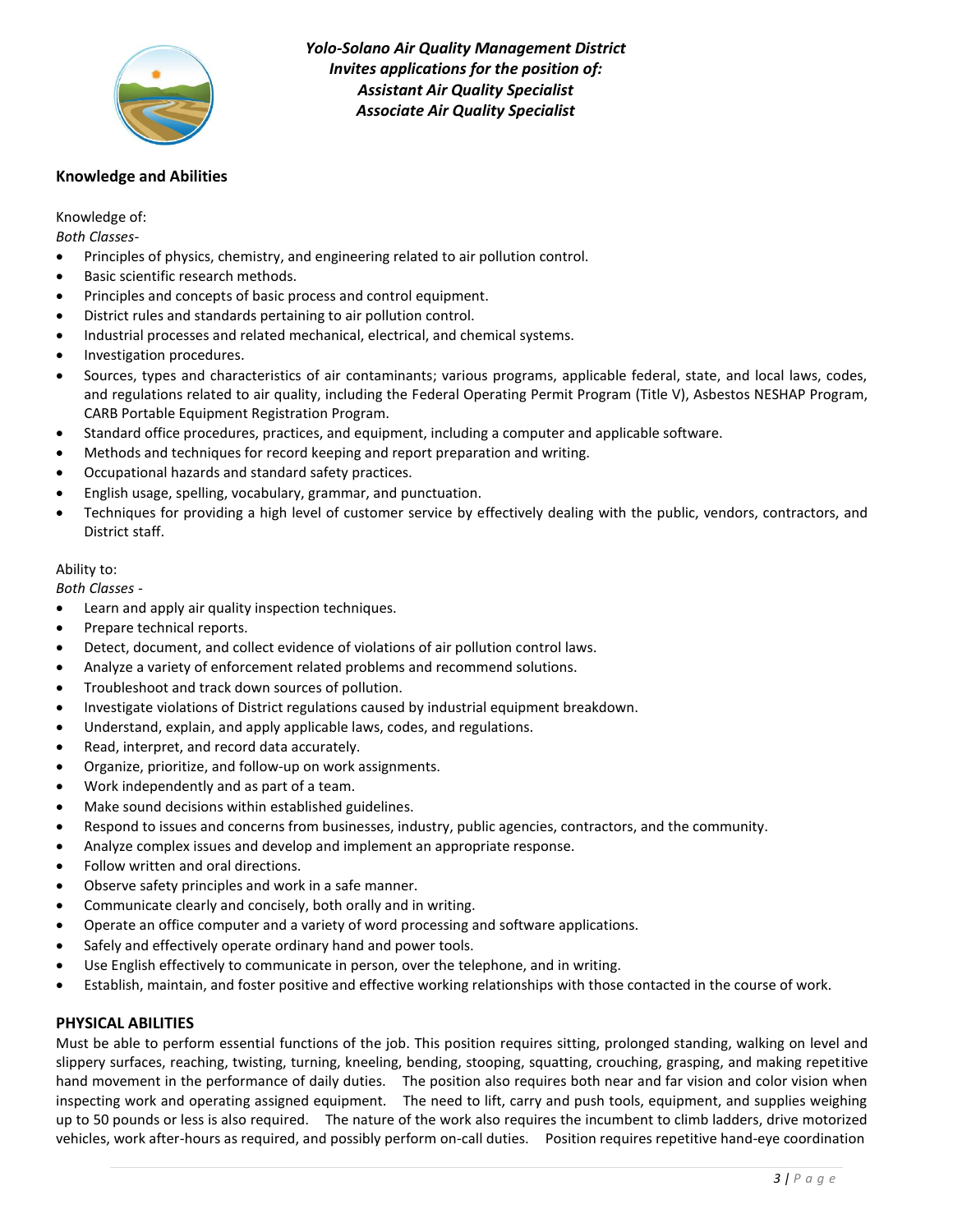

#### **Knowledge and Abilities**

Knowledge of:

*Both Classes-*

- Principles of physics, chemistry, and engineering related to air pollution control.
- Basic scientific research methods.
- Principles and concepts of basic process and control equipment.
- District rules and standards pertaining to air pollution control.
- Industrial processes and related mechanical, electrical, and chemical systems.
- Investigation procedures.
- Sources, types and characteristics of air contaminants; various programs, applicable federal, state, and local laws, codes, and regulations related to air quality, including the Federal Operating Permit Program (Title V), Asbestos NESHAP Program, CARB Portable Equipment Registration Program.
- Standard office procedures, practices, and equipment, including a computer and applicable software.
- Methods and techniques for record keeping and report preparation and writing.
- Occupational hazards and standard safety practices.
- English usage, spelling, vocabulary, grammar, and punctuation.
- Techniques for providing a high level of customer service by effectively dealing with the public, vendors, contractors, and District staff.

#### Ability to:

*Both Classes -*

- Learn and apply air quality inspection techniques.
- Prepare technical reports.
- Detect, document, and collect evidence of violations of air pollution control laws.
- Analyze a variety of enforcement related problems and recommend solutions.
- Troubleshoot and track down sources of pollution.
- Investigate violations of District regulations caused by industrial equipment breakdown.
- Understand, explain, and apply applicable laws, codes, and regulations.
- Read, interpret, and record data accurately.
- Organize, prioritize, and follow-up on work assignments.
- Work independently and as part of a team.
- Make sound decisions within established guidelines.
- Respond to issues and concerns from businesses, industry, public agencies, contractors, and the community.
- Analyze complex issues and develop and implement an appropriate response.
- Follow written and oral directions.
- Observe safety principles and work in a safe manner.
- Communicate clearly and concisely, both orally and in writing.
- Operate an office computer and a variety of word processing and software applications.
- Safely and effectively operate ordinary hand and power tools.
- Use English effectively to communicate in person, over the telephone, and in writing.
- Establish, maintain, and foster positive and effective working relationships with those contacted in the course of work.

#### **PHYSICAL ABILITIES**

Must be able to perform essential functions of the job. This position requires sitting, prolonged standing, walking on level and slippery surfaces, reaching, twisting, turning, kneeling, bending, stooping, squatting, crouching, grasping, and making repetitive hand movement in the performance of daily duties. The position also requires both near and far vision and color vision when inspecting work and operating assigned equipment. The need to lift, carry and push tools, equipment, and supplies weighing up to 50 pounds or less is also required. The nature of the work also requires the incumbent to climb ladders, drive motorized vehicles, work after-hours as required, and possibly perform on-call duties. Position requires repetitive hand-eye coordination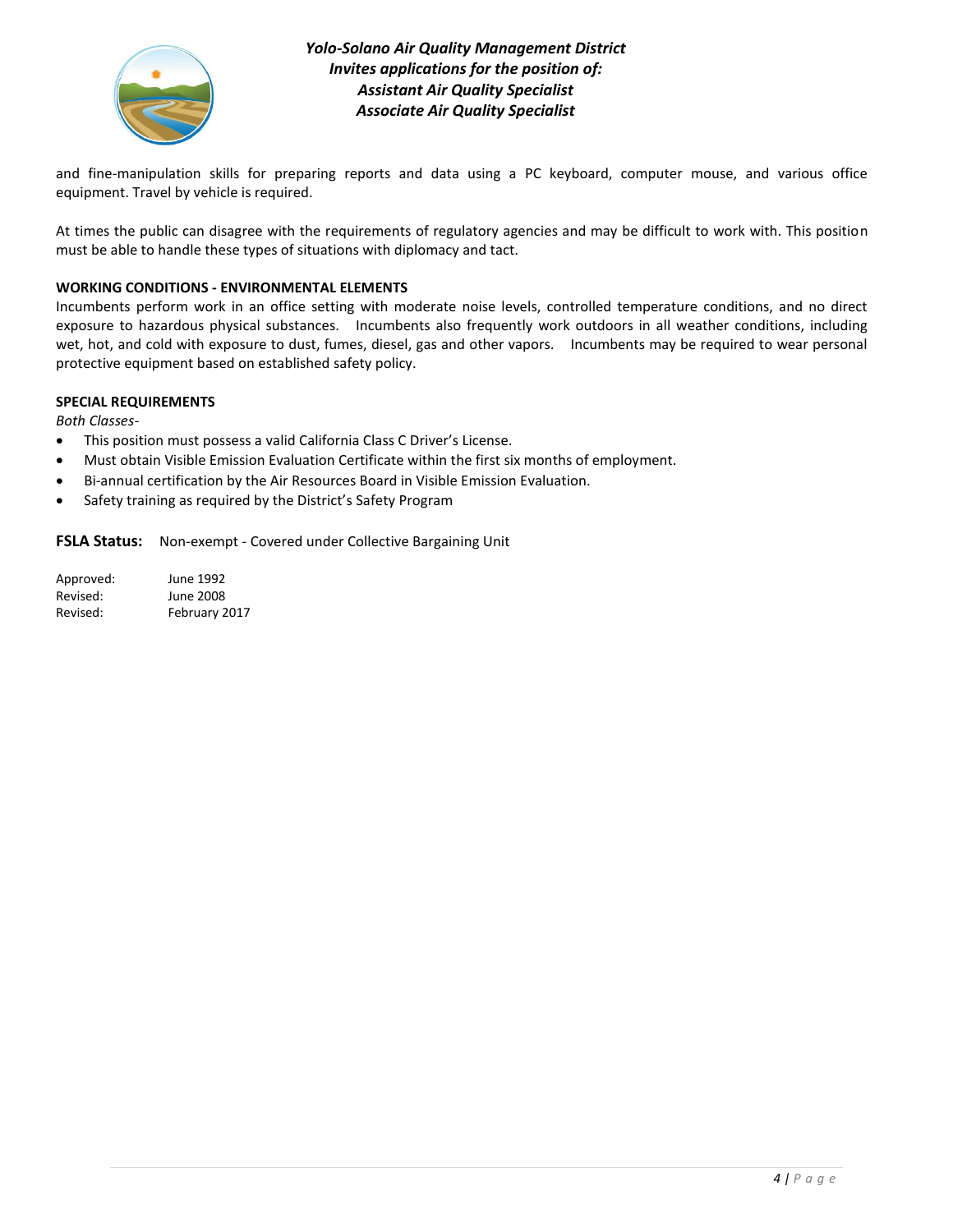

and fine-manipulation skills for preparing reports and data using a PC keyboard, computer mouse, and various office equipment. Travel by vehicle is required.

At times the public can disagree with the requirements of regulatory agencies and may be difficult to work with. This position must be able to handle these types of situations with diplomacy and tact.

#### **WORKING CONDITIONS - ENVIRONMENTAL ELEMENTS**

Incumbents perform work in an office setting with moderate noise levels, controlled temperature conditions, and no direct exposure to hazardous physical substances. Incumbents also frequently work outdoors in all weather conditions, including wet, hot, and cold with exposure to dust, fumes, diesel, gas and other vapors. Incumbents may be required to wear personal protective equipment based on established safety policy.

#### **SPECIAL REQUIREMENTS**

*Both Classes-*

- This position must possess a valid California Class C Driver's License.
- Must obtain Visible Emission Evaluation Certificate within the first six months of employment.
- Bi-annual certification by the Air Resources Board in Visible Emission Evaluation.
- Safety training as required by the District's Safety Program

**FSLA Status:** Non-exempt - Covered under Collective Bargaining Unit

| Approved: | June 1992     |
|-----------|---------------|
| Revised:  | June 2008     |
| Revised:  | February 2017 |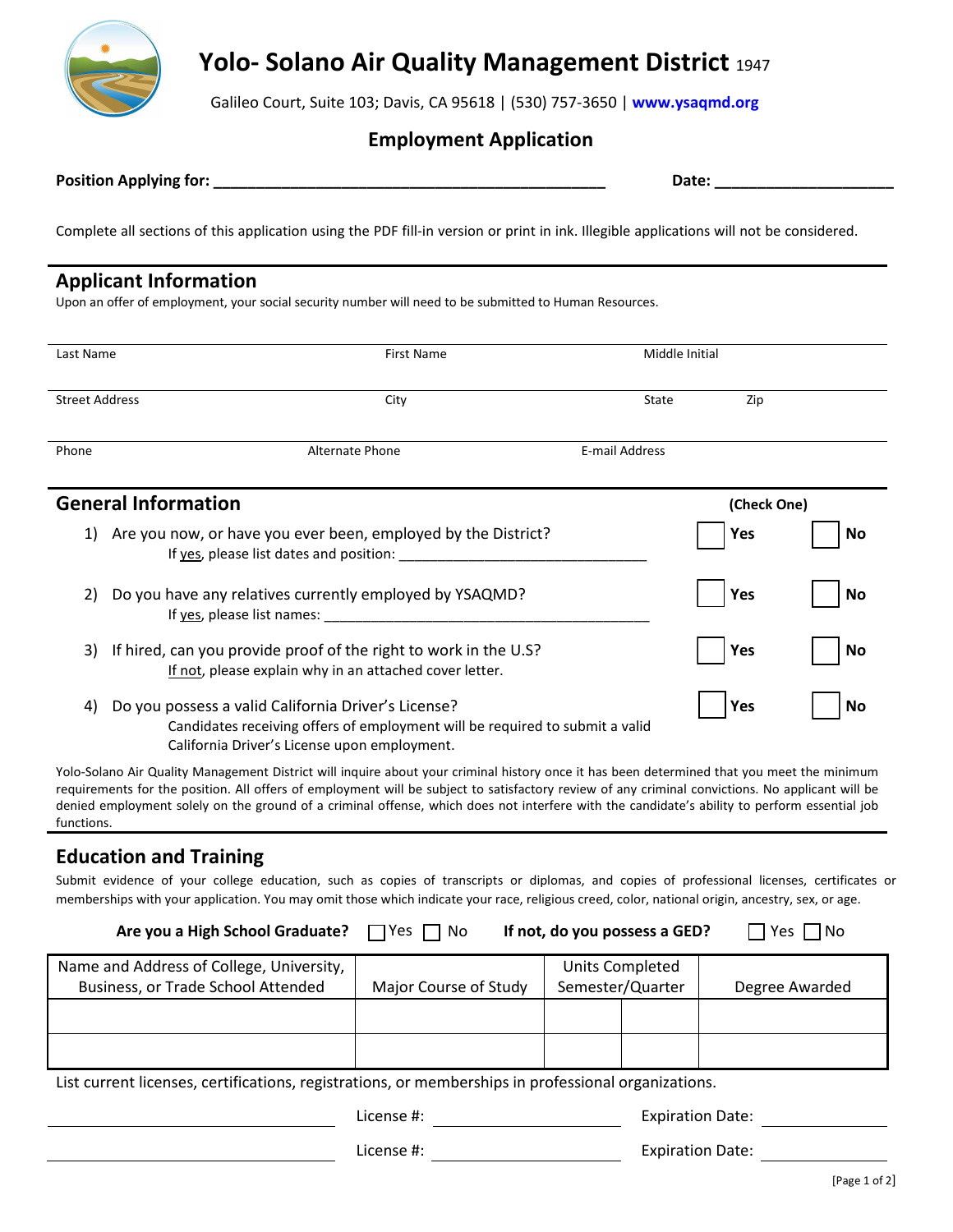

# **Yolo- Solano Air Quality Management District** <sup>1947</sup>

Galileo Court, Suite 103; Davis, CA 95618 | (530) 757-3650 | **w[ww.ysaqmd.org](www.ysaqmd.org)**

# **Employment Application**

|  | <b>Position Applying for:</b> |  |
|--|-------------------------------|--|
|--|-------------------------------|--|

**Pate: \_\_\_\_\_\_\_\_\_\_\_\_\_** 

Complete all sections of this application using the PDF fill-in version or print in ink. Illegible applications will not be considered.

# **Applicant Information**

Upon an offer of employment, your social security number will need to be submitted to Human Resources.

| Last Name                  | First Name                                                       | Middle Initial |             |           |
|----------------------------|------------------------------------------------------------------|----------------|-------------|-----------|
|                            |                                                                  |                |             |           |
| <b>Street Address</b>      | City                                                             | State          | Zip         |           |
|                            |                                                                  |                |             |           |
| Phone                      | <b>Alternate Phone</b>                                           | E-mail Address |             |           |
|                            |                                                                  |                |             |           |
| <b>General Information</b> |                                                                  |                | (Check One) |           |
| 1)                         | Are you now, or have you ever been, employed by the District?    |                | Yes         | No        |
|                            | If yes, please list dates and position:                          |                |             |           |
|                            |                                                                  |                |             |           |
| 2)                         | Do you have any relatives currently employed by YSAQMD?          |                | Yes         | No        |
|                            | If yes, please list names:                                       |                |             |           |
| 3)                         | If hired, can you provide proof of the right to work in the U.S? |                | Yes         | <b>No</b> |
|                            | If not, please explain why in an attached cover letter.          |                |             |           |

4) Do you possess a valid California Driver's License? Candidates receiving offers of employment will be required to submit a valid California Driver's License upon employment.

Yolo-Solano Air Quality Management District will inquire about your criminal history once it has been determined that you meet the minimum requirements for the position. All offers of employment will be subject to satisfactory review of any criminal convictions. No applicant will be denied employment solely on the ground of a criminal offense, which does not interfere with the candidate's ability to perform essential job functions.

# **Education and Training**

Submit evidence of your college education, such as copies of transcripts or diplomas, and copies of professional licenses, certificates or memberships with your application. You may omit those which indicate your race, religious creed, color, national origin, ancestry, sex, or age.

| Are you a High School Graduate?          | $\Box$ Yes $\Box$ No  | If not, do you possess a GED? | Yes<br>l No    |
|------------------------------------------|-----------------------|-------------------------------|----------------|
| Name and Address of College, University, |                       | Units Completed               |                |
| Business, or Trade School Attended       | Major Course of Study | Semester/Quarter              | Degree Awarded |
|                                          |                       |                               |                |
|                                          |                       |                               |                |

List current licenses, certifications, registrations, or memberships in professional organizations.

License #: License #: Expiration Date:

License #: Expiration Date:

**Yes No**